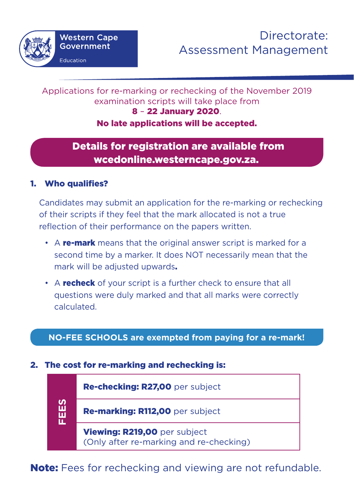#### Applications for re-marking or rechecking of the November 2019 examination scripts will take place from 8 – 22 January 2020.

# No late applications will be accepted.

# Details for registration are available from wcedonline.westerncape.gov.za.

# 1. Who qualifies?

Candidates may submit an application for the re-marking or rechecking of their scripts if they feel that the mark allocated is not a true reflection of their performance on the papers written.

- A re-mark means that the original answer script is marked for a second time by a marker. It does NOT necessarily mean that the mark will be adjusted upwards.
- A **recheck** of your script is a further check to ensure that all questions were duly marked and that all marks were correctly calculated.

## **NO-FEE SCHOOLS are exempted from paying for a re-mark!**

### 2. The cost for re-marking and rechecking is:

| SEE | Re-checking: R27,00 per subject                                         |
|-----|-------------------------------------------------------------------------|
|     | Re-marking: R112,00 per subject                                         |
|     | Viewing: R219,00 per subject<br>(Only after re-marking and re-checking) |

Note: Fees for rechecking and viewing are not refundable.